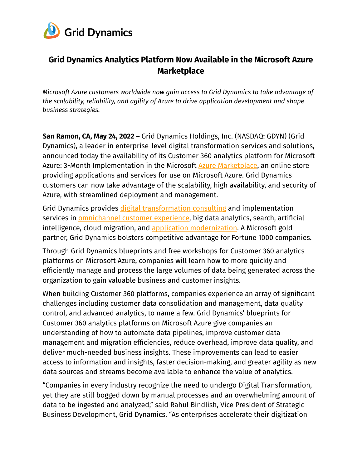

# **Grid Dynamics Analytics Platform Now Available in the Microsoft Azure Marketplace**

*Microsoft Azure customers worldwide now gain access to Grid Dynamics to take advantage of the scalability, reliability, and agility of Azure to drive application development and shape business strategies.*

**San Ramon, CA, May 24, 2022 –** Grid Dynamics Holdings, Inc. (NASDAQ: GDYN) (Grid Dynamics), a leader in enterprise-level digital transformation services and solutions, announced today the availability of its Customer 360 analytics platform for Microsoft Azure: 3-Month Implementation in the Microsoft **Azure [Marketplace](https://azure.microsoft.com/en-us/marketplace/)**, an online store providing applications and services for use on Microsoft Azure. Grid Dynamics customers can now take advantage of the scalability, high availability, and security of Azure, with streamlined deployment and management.

Grid Dynamics provides digital [transformation](https://www.griddynamics.com/services) consulting and implementation services in [omnichannel](https://www.griddynamics.com/solutions/digital-transformation/digital-experience) customer experience, big data analytics, search, artificial intelligence, cloud migration, and application [modernization](https://www.griddynamics.com/solutions/application-modernization). A Microsoft gold partner, Grid Dynamics bolsters competitive advantage for Fortune 1000 companies.

Through Grid Dynamics blueprints and free workshops for Customer 360 analytics platforms on Microsoft Azure, companies will learn how to more quickly and efficiently manage and process the large volumes of data being generated across the organization to gain valuable business and customer insights.

When building Customer 360 platforms, companies experience an array of significant challenges including customer data consolidation and management, data quality control, and advanced analytics, to name a few. Grid Dynamics' blueprints for Customer 360 analytics platforms on Microsoft Azure give companies an understanding of how to automate data pipelines, improve customer data management and migration efficiencies, reduce overhead, improve data quality, and deliver much-needed business insights. These improvements can lead to easier access to information and insights, faster decision-making, and greater agility as new data sources and streams become available to enhance the value of analytics.

"Companies in every industry recognize the need to undergo Digital Transformation, yet they are still bogged down by manual processes and an overwhelming amount of data to be ingested and analyzed," said Rahul Bindlish, Vice President of Strategic Business Development, Grid Dynamics. "As enterprises accelerate their digitization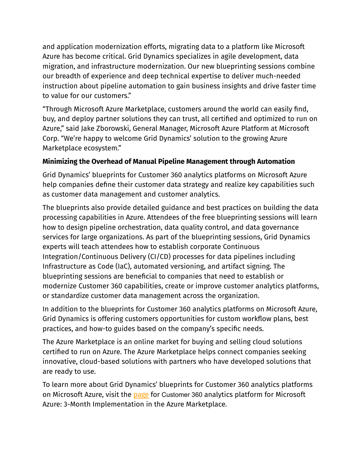and application modernization efforts, migrating data to a platform like Microsoft Azure has become critical. Grid Dynamics specializes in agile development, data migration, and infrastructure modernization. Our new blueprinting sessions combine our breadth of experience and deep technical expertise to deliver much-needed instruction about pipeline automation to gain business insights and drive faster time to value for our customers."

"Through Microsoft Azure Marketplace, customers around the world can easily find, buy, and deploy partner solutions they can trust, all certified and optimized to run on Azure," said Jake Zborowski, General Manager, Microsoft Azure Platform at Microsoft Corp. "We're happy to welcome Grid Dynamics' solution to the growing Azure Marketplace ecosystem."

## **Minimizing the Overhead of Manual Pipeline Management through Automation**

Grid Dynamics' blueprints for Customer 360 analytics platforms on Microsoft Azure help companies define their customer data strategy and realize key capabilities such as customer data management and customer analytics.

The blueprints also provide detailed guidance and best practices on building the data processing capabilities in Azure. Attendees of the free blueprinting sessions will learn how to design pipeline orchestration, data quality control, and data governance services for large organizations. As part of the blueprinting sessions, Grid Dynamics experts will teach attendees how to establish corporate Continuous Integration/Continuous Delivery (CI/CD) processes for data pipelines including Infrastructure as Code (IaC), automated versioning, and artifact signing. The blueprinting sessions are beneficial to companies that need to establish or modernize Customer 360 capabilities, create or improve customer analytics platforms, or standardize customer data management across the organization.

In addition to the blueprints for Customer 360 analytics platforms on Microsoft Azure, Grid Dynamics is offering customers opportunities for custom workflow plans, best practices, and how-to guides based on the company's specific needs.

The Azure Marketplace is an online market for buying and selling cloud solutions certified to run on Azure. The Azure Marketplace helps connect companies seeking innovative, cloud-based solutions with partners who have developed solutions that are ready to use.

To learn more about Grid Dynamics' blueprints for Customer 360 analytics platforms on Microsoft Azure, visit the [page](https://azuremarketplace.microsoft.com/en-us/marketplace/consulting-services/griddynamics1591098950826.automated_data_pipeline_framework?ocid=GTMRewards_PR_automated_data_pipeline_framework_c7ba) for Customer 360 analytics platform for Microsoft Azure: 3-Month Implementation in the Azure Marketplace.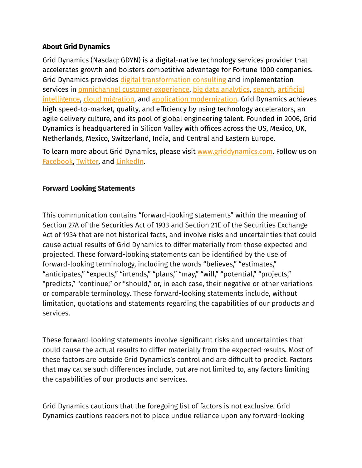### **About Grid Dynamics**

Grid Dynamics (Nasdaq: GDYN) is a digital-native technology services provider that accelerates growth and bolsters competitive advantage for Fortune 1000 companies. Grid Dynamics provides digital [transformation](https://www.griddynamics.com/services/technology-strategy-consulting) consulting and implementation services in [omnichannel](https://www.griddynamics.com/solutions/customer-loyalty-platform) customer experience, big data [analytics](https://www.griddynamics.com/solutions/big-data), [search,](https://www.griddynamics.com/solutions/search) [artificial](https://www.griddynamics.com/solutions/data-science-ai) [intelligence](https://www.griddynamics.com/solutions/data-science-ai), cloud [migration](https://www.griddynamics.com/solutions/cloud-migration), and application [modernization](https://www.griddynamics.com/solutions/application-modernization). Grid Dynamics achieves high speed-to-market, quality, and efficiency by using technology accelerators, an agile delivery culture, and its pool of global engineering talent. Founded in 2006, Grid Dynamics is headquartered in Silicon Valley with offices across the US, Mexico, UK, Netherlands, Mexico, Switzerland, India, and Central and Eastern Europe.

To learn more about Grid Dynamics, please visit [www.griddynamics.com](http://www.griddynamics.com). Follow us on [Facebook](https://www.facebook.com/griddynamics), [Twitter,](https://twitter.com/griddynamics) and [LinkedIn](https://www.linkedin.com/company/grid-dynamics/).

#### **Forward Looking Statements**

This communication contains "forward-looking statements" within the meaning of Section 27A of the Securities Act of 1933 and Section 21E of the Securities Exchange Act of 1934 that are not historical facts, and involve risks and uncertainties that could cause actual results of Grid Dynamics to differ materially from those expected and projected. These forward-looking statements can be identified by the use of forward-looking terminology, including the words "believes," "estimates," "anticipates," "expects," "intends," "plans," "may," "will," "potential," "projects," "predicts," "continue," or "should," or, in each case, their negative or other variations or comparable terminology. These forward-looking statements include, without limitation, quotations and statements regarding the capabilities of our products and services.

These forward-looking statements involve significant risks and uncertainties that could cause the actual results to differ materially from the expected results. Most of these factors are outside Grid Dynamics's control and are difficult to predict. Factors that may cause such differences include, but are not limited to, any factors limiting the capabilities of our products and services.

Grid Dynamics cautions that the foregoing list of factors is not exclusive. Grid Dynamics cautions readers not to place undue reliance upon any forward-looking